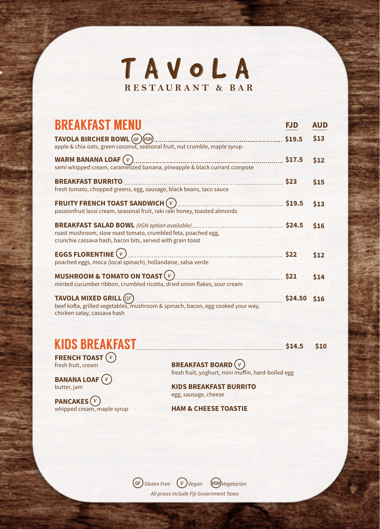

| <b>BREAKFAST MENU</b>                                                                                                                                                              |         | <b>AUD</b> |
|------------------------------------------------------------------------------------------------------------------------------------------------------------------------------------|---------|------------|
| TAVOLA BIRCHER BOWL (GF) (VGN)<br>apple & chia oats, green coconut, seasonal fruit, nut crumble, maple syrup                                                                       | 519.5   | \$13       |
| WARM BANANA LOAF $(V)$<br>semi whipped cream, caramelized banana, pineapple & black currant compote                                                                                | \$17.5  | \$12       |
| <b>BREAKFAST BURRITO</b><br>fresh tomato, chopped greens, egg, sausage, black beans, taco sauce                                                                                    | \$23    | \$15       |
| <b>FRUITY FRENCH TOAST SANDWICH <math>(v)</math></b><br>passionfruit lassi cream, seasonal fruit, raki raki honey, toasted almonds                                                 | \$19.5  | \$13       |
| <b>BREAKFAST SALAD BOWL</b> (VGN option available)<br>roast mushroom, slow roast tomato, crumbled feta, poached egg,<br>crunchie cassava hash, bacon bits, served with grain toast | \$24.5  | \$16       |
| <b>EGGS FLORENTINE (V)</b><br>.<br>poached eggs, moca (local spinach), hollandaise, salsa verde                                                                                    | \$22    | \$12       |
| MUSHROOM & TOMATO ON TOAST $(v)$<br>minted cucumber ribbon, crumbled ricotta, dried onion flakes, sour cream                                                                       | \$21    | \$14       |
| <b>TAVOLA MIXED GRILL (GF)</b><br>beef kofta, grilled vegetables, mushroom & spinach, bacon, egg cooked your way,<br>chicken satay, cassava hash                                   | \$24.50 | \$16       |

## KIDS BREAKFAST **\$14.5** \$14.5 \$10

**FRENCH TOAST** *V* fresh fruit, cream

**BANANA LOAF** *V* butter, jam

**PANCAKES** *V* whipped cream, maple syrup **BREAKFAST BOARD** *V* fresh fruit, yoghurt, mini muffin, hard-boiled egg

**KIDS BREAKFAST BURRITO** egg, sausage, cheese

**HAM & CHEESE TOASTIE**